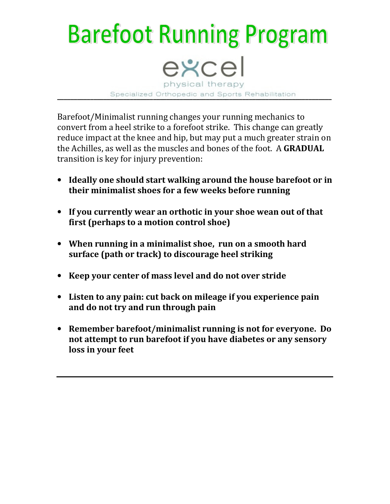## **Barefoot Running Program** excel physical therapy Specialized Orthopedic and Sports Rehabilitation

Barefoot/Minimalist running changes your running mechanics to convert from a heel strike to a forefoot strike. This change can greatly reduce impact at the knee and hip, but may put a much greater strain on the Achilles, as well as the muscles and bones of the foot. A GRADUAL transition is key for injury prevention:

- Ideally one should start walking around the house barefoot or in their minimalist shoes for a few weeks before running
- If you currently wear an orthotic in your shoe wean out of that first (perhaps to a motion control shoe)
- When running in a minimalist shoe, run on a smooth hard surface (path or track) to discourage heel striking
- Keep your center of mass level and do not over stride
- Listen to any pain: cut back on mileage if you experience pain and do not try and run through pain
- Remember barefoot/minimalist running is not for everyone. Do not attempt to run barefoot if you have diabetes or any sensory loss in your feet